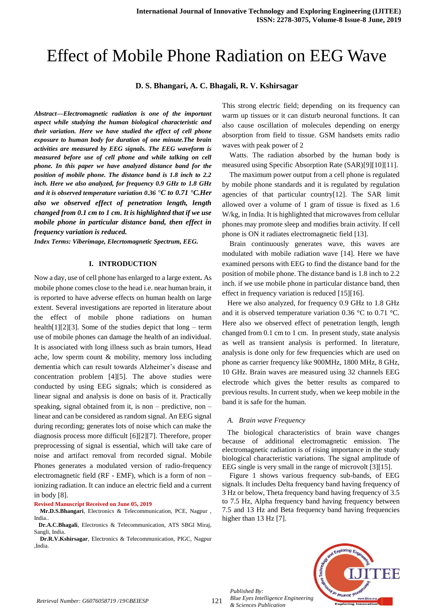# Effect of Mobile Phone Radiation on EEG Wave

**D. S. Bhangari, A. C. Bhagali, R. V. Kshirsagar**

*Abstract—Electromagnetic radiation is one of the important aspect while studying the human biological characteristic and their variation. Here we have studied the effect of cell phone exposure to human body for duration of one minute.The brain activities are measured by EEG signals. The EEG waveform is measured before use of cell phone and while talking on cell phone. In this paper we have analyzed distance band for the position of mobile phone. The distance band is 1.8 inch to 2.2 inch. Here we also analyzed, for frequency 0.9 GHz to 1.8 GHz and it is observed temperature variation 0.36 °C to 0.71 °C.Her also we observed effect of penetration length, length changed from 0.1 cm to 1 cm. It is highlighted that if we use mobile phone in particular distance band, then effect in frequency variation is reduced.* 

*Index Terms: Viberimage, Elecrtomagnetic Spectrum, EEG.*

## **I. INTRODUCTION**

Now a day, use of cell phone has enlarged to a large extent**.** As mobile phone comes close to the head i.e. near human brain, it is reported to have adverse effects on human health on large extent. Several investigations are reported in literature about the effect of mobile phone radiations on human health[1][2][3]. Some of the studies depict that  $\log - \text{term}$ use of mobile phones can damage the health of an individual. It is associated with long illness such as brain tumors, Head ache, low sperm count & mobility, memory loss including dementia which can result towards Alzheimer"s disease and concentration problem [4][5]. The above studies were conducted by using EEG signals; which is considered as linear signal and analysis is done on basis of it. Practically speaking, signal obtained from it, is non – predictive, non – linear and can be considered as random signal. An EEG signal during recording; generates lots of noise which can make the diagnosis process more difficult [6][2][7]. Therefore, proper preprocessing of signal is essential, which will take care of noise and artifact removal from recorded signal. Mobile Phones generates a modulated version of radio-frequency electromagnetic field (RF - EMF), which is a form of non – ionizing radiation. It can induce an electric field and a current in body [8].

**Revised Manuscript Received on June 05, 2019**

 **Mr.D.S.Bhangari**, Electronics & Telecommunication, PCE, Nagpur , India..

 **Dr.A.C.Bhagali**, Electronics & Telecommunication, ATS SBGI Miraj, Sangli, India.

 **Dr.R.V.Kshirsagar**, Electronics & Telecommunication, PIGC, Nagpur ,India.

This strong electric field; depending on its frequency can warm up tissues or it can disturb neuronal functions. It can also cause oscillation of molecules depending on energy absorption from field to tissue. GSM handsets emits radio waves with peak power of 2

Watts. The radiation absorbed by the human body is measured using Specific Absorption Rate (SAR)[9][10][11].

The maximum power output from a cell phone is regulated by mobile phone standards and it is regulated by regulation agencies of that particular country[12]. The SAR limit allowed over a volume of 1 gram of tissue is fixed as 1.6 W/kg, in India. It is highlighted that microwaves from cellular phones may promote sleep and modifies brain activity. If cell phone is ON it radiates electromagnetic field [13].

Brain continuously generates wave, this waves are modulated with mobile radiation wave [14]. Here we have examined persons with EEG to find the distance band for the position of mobile phone. The distance band is 1.8 inch to 2.2 inch. if we use mobile phone in particular distance band, then effect in frequency variation is reduced [15][16].

Here we also analyzed, for frequency 0.9 GHz to 1.8 GHz and it is observed temperature variation 0.36 °C to 0.71 °C. Here also we observed effect of penetration length, length changed from 0.1 cm to 1 cm. In present study, state analysis as well as transient analysis is performed. In literature, analysis is done only for few frequencies which are used on phone as carrier frequency like 900MHz, 1800 MHz, 8 GHz, 10 GHz. Brain waves are measured using 32 channels EEG electrode which gives the better results as compared to previous results. In current study, when we keep mobile in the band it is safe for the human.

#### *A. Brain wave Frequency*

The biological characteristics of brain wave changes because of additional electromagnetic emission. The electromagnetic radiation is of rising importance in the study biological characteristic variations. The signal amplitude of EEG single is very small in the range of microvolt [3][15].

Figure 1 shows various frequency sub-bands, of EEG signals. It includes Delta frequency band having frequency of 3 Hz or below, Theta frequency band having frequency of 3.5 to 7.5 Hz, Alpha frequency band having frequency between 7.5 and 13 Hz and Beta frequency band having frequencies higher than 13 Hz [7].



*Published By:*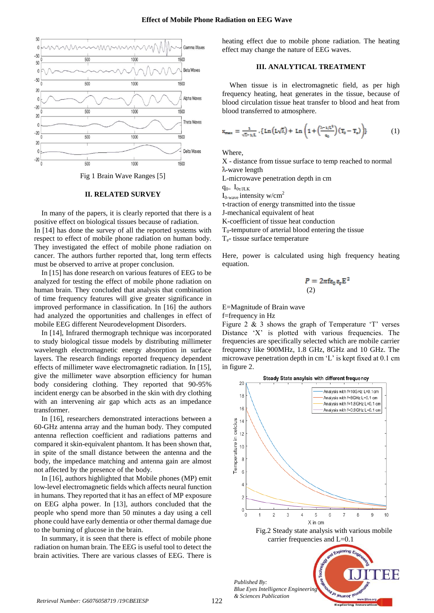

Fig 1 Brain Wave Ranges [5]

## **II. RELATED SURVEY**

In many of the papers, it is clearly reported that there is a positive effect on biological tissues because of radiation.

In [14] has done the survey of all the reported systems with respect to effect of mobile phone radiation on human body. They investigated the effect of mobile phone radiation on cancer. The authors further reported that, long term effects must be observed to arrive at proper conclusion.

In [15] has done research on various features of EEG to be analyzed for testing the effect of mobile phone radiation on human brain. They concluded that analysis that combination of time frequency features will give greater significance in improved performance in classification. In [16] the authors had analyzed the opportunities and challenges in effect of mobile EEG different Neurodevelopment Disorders.

In [14], Infrared thermograph technique was incorporated to study biological tissue models by distributing millimeter wavelength electromagnetic energy absorption in surface layers. The research findings reported frequency dependent effects of millimeter wave electromagnetic radiation. In [15], give the millimeter wave absorption efficiency for human body considering clothing. They reported that 90-95% incident energy can be absorbed in the skin with dry clothing with an intervening air gap which acts as an impedance transformer.

In [16], researchers demonstrated interactions between a 60-GHz antenna array and the human body. They computed antenna reflection coefficient and radiations patterns and compared it skin-equivalent phantom. It has been shown that, in spite of the small distance between the antenna and the body, the impedance matching and antenna gain are almost not affected by the presence of the body.

In [16], authors highlighted that Mobile phones (MP) emit low-level electromagnetic fields which affects neural function in humans. They reported that it has an effect of MP exposure on EEG alpha power. In [13], authors concluded that the people who spend more than 50 minutes a day using a cell phone could have early dementia or other thermal damage due to the burning of glucose in the brain.

In summary, it is seen that there is effect of mobile phone radiation on human brain. The EEG is useful tool to detect the brain activities. There are various classes of EEG. There is heating effect due to mobile phone radiation. The heating effect may change the nature of EEG waves.

# **III. ANALYTICAL TREATMENT**

When tissue is in electromagnetic field, as per high frequency heating, heat generates in the tissue, because of blood circulation tissue heat transfer to blood and heat from blood transferred to atmosphere.

$$
x_{\max} = \frac{1}{\sqrt{2}-1/L} \cdot \{ \operatorname{Ln} \left( L\sqrt{\lambda} \right) + \operatorname{Ln} \left( 1 + \left( \frac{\lambda - 1/L^2}{q_0} \right) \left( T_0 - T_e \right) \right) \} \tag{1}
$$

**Where** 

X - distance from tissue surface to temp reached to normal λ-wave length

L-microwave penetration depth in cm

 $q_{0=} I_{0\tau/ J L K}$ 

 $I_{0\text{-wave}}$  intensity w/cm<sup>2</sup>

τ-traction of energy transmitted into the tissue

J-mechanical equivalent of heat

K-coefficient of tissue heat conduction

 $T<sub>0</sub>$ -temputure of arterial blood entering the tissue

Te- tissue surface temperature

Here, power is calculated using high frequency heating equation.

$$
P = 2\pi f \varepsilon_0 \varepsilon_r E^2
$$
  
(2)

E=Magnitude of Brain wave

f=frequency in Hz

Figure 2  $\&$  3 shows the graph of Temperature  $T'$  verses Distance 'X' is plotted with various frequencies. The frequencies are specifically selected which are mobile carrier frequency like 900MHz, 1.8 GHz, 8GHz and 10 GHz. The microwave penetration depth in cm "L" is kept fixed at 0.1 cm in figure 2.



1/30 Jeunor le

*Published By: Blue Eyes Intelligence Engineering & Sciences Publication*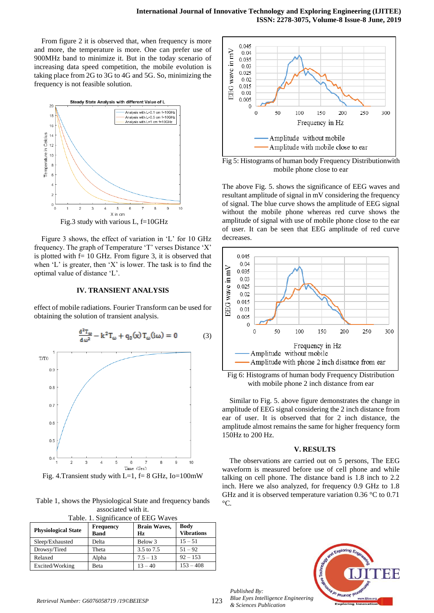From figure 2 it is observed that, when frequency is more and more, the temperature is more. One can prefer use of 900MHz band to minimize it. But in the today scenario of increasing data speed competition, the mobile evolution is taking place from 2G to 3G to 4G and 5G. So, minimizing the frequency is not feasible solution.



Fig.3 study with various L, f=10GHz

Figure 3 shows, the effect of variation in 'L' for 10 GHz frequency. The graph of Temperature 'T' verses Distance 'X' is plotted with  $f = 10$  GHz. From figure 3, it is observed that when 'L' is greater, then 'X' is lower. The task is to find the optimal value of distance "L".

## **IV. TRANSIENT ANALYSIS**

effect of mobile radiations. Fourier Transform can be used for obtaining the solution of transient analysis.



Fig. 4. Transient study with L=1,  $f= 8$  GHz, Io=100mW

Table 1, shows the Physiological State and frequency bands associated with it.  $T<sub>1</sub>$  1. Significance of EEG Waves

| <b>Physiological State</b> | <b>Frequency</b><br><b>Band</b> | <b>Brain Waves,</b><br>Hz | Table. 1. Significance of EEG Waves<br><b>Body</b><br><b>Vibrations</b> |  |
|----------------------------|---------------------------------|---------------------------|-------------------------------------------------------------------------|--|
| Sleep/Exhausted            | Delta                           | Below 3                   | $15 - 51$                                                               |  |
| Drowsy/Tired               | Theta                           | 3.5 to 7.5                | $51 - 92$                                                               |  |
| Relaxed                    | Alpha                           | $7.5 - 13$                | $92 - 153$                                                              |  |
| Excited/Working            | Beta                            | $13 - 40$                 | $153 - 408$                                                             |  |



Fig 5: Histograms of human body Frequency Distributionwith mobile phone close to ear

The above Fig. 5. shows the significance of EEG waves and resultant amplitude of signal in mV considering the frequency of signal. The blue curve shows the amplitude of EEG signal without the mobile phone whereas red curve shows the amplitude of signal with use of mobile phone close to the ear of user. It can be seen that EEG amplitude of red curve decreases.



Fig 6: Histograms of human body Frequency Distribution with mobile phone 2 inch distance from ear

Similar to Fig. 5. above figure demonstrates the change in amplitude of EEG signal considering the 2 inch distance from ear of user. It is observed that for 2 inch distance, the amplitude almost remains the same for higher frequency form 150Hz to 200 Hz.

#### **V. RESULTS**

The observations are carried out on 5 persons, The EEG waveform is measured before use of cell phone and while talking on cell phone. The distance band is 1.8 inch to 2.2 inch. Here we also analyzed, for frequency 0.9 GHz to 1.8 GHz and it is observed temperature variation 0.36 °C to 0.71  $\rm{^{\circ}C}.$ 



123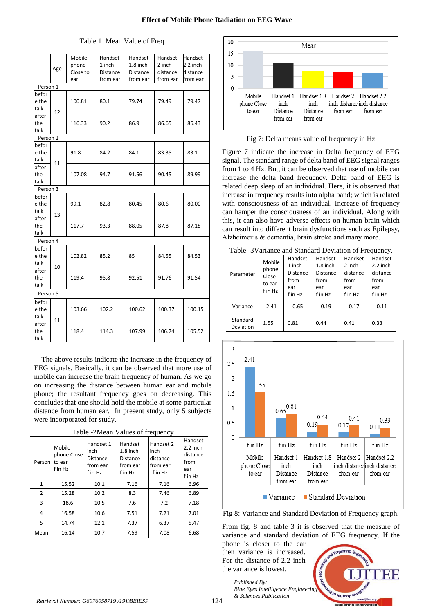|                        | Age | Mobile<br>phone<br>Close to<br>ear | Handset<br>1 inch<br>Distance<br>from ear | Handset<br>$1.8$ inch<br><b>Distance</b><br>from ear | Handset<br>2 inch<br>distance<br>from ear | Handset<br>2.2 inch<br>distance<br>from ear |
|------------------------|-----|------------------------------------|-------------------------------------------|------------------------------------------------------|-------------------------------------------|---------------------------------------------|
| Person 1               |     |                                    |                                           |                                                      |                                           |                                             |
| befor<br>e the<br>talk | 12  | 100.81                             | 80.1                                      | 79.74                                                | 79.49                                     | 79.47                                       |
| after<br>the<br>talk   |     | 116.33                             | 90.2                                      | 86.9                                                 | 86.65                                     | 86.43                                       |
| Person 2               |     |                                    |                                           |                                                      |                                           |                                             |
| befor<br>e the<br>talk | 11  | 91.8                               | 84.2                                      | 84.1                                                 | 83.35                                     | 83.1                                        |
| after<br>the<br>talk   |     | 107.08                             | 94.7                                      | 91.56                                                | 90.45                                     | 89.99                                       |
| Person 3               |     |                                    |                                           |                                                      |                                           |                                             |
| befor<br>e the<br>talk |     | 99.1                               | 82.8                                      | 80.45                                                | 80.6                                      | 80.00                                       |
| after<br>the<br>talk   | 13  | 117.7                              | 93.3                                      | 88.05                                                | 87.8                                      | 87.18                                       |
| Person 4               |     |                                    |                                           |                                                      |                                           |                                             |
| befor<br>e the<br>talk | 10  | 102.82                             | 85.2                                      | 85                                                   | 84.55                                     | 84.53                                       |
| after<br>the<br>talk   |     | 119.4                              | 95.8                                      | 92.51                                                | 91.76                                     | 91.54                                       |
| Person 5               |     |                                    |                                           |                                                      |                                           |                                             |
| befor<br>e the<br>talk | 11  | 103.66                             | 102.2                                     | 100.62                                               | 100.37                                    | 100.15                                      |
| after<br>the<br>talk   |     | 118.4                              | 114.3                                     | 107.99                                               | 106.74                                    | 105.52                                      |

Table 1 Mean Value of Freq.

The above results indicate the increase in the frequency of EEG signals. Basically, it can be observed that more use of mobile can increase the brain frequency of human. As we go on increasing the distance between human ear and mobile phone; the resultant frequency goes on decreasing. This concludes that one should hold the mobile at some particular distance from human ear. In present study, only 5 subjects were incorporated for study.

| Person         | Mobile<br>phone Close<br>to ear<br>f in Hz | Handset 1<br>inch<br><b>Distance</b><br>from ear<br>f in Hz | Handset<br>$1.8$ inch<br><b>Distance</b><br>from ear<br>f in Hz | Handset 2<br>inch<br>distance<br>from ear<br>f in Hz | Handset<br>$2.2$ inch<br>distance<br>from<br>ear<br>f in Hz |
|----------------|--------------------------------------------|-------------------------------------------------------------|-----------------------------------------------------------------|------------------------------------------------------|-------------------------------------------------------------|
| $\mathbf{1}$   | 15.52                                      | 10.1                                                        | 7.16                                                            | 7.16                                                 | 6.96                                                        |
| $\overline{2}$ | 15.28                                      | 10.2                                                        | 8.3                                                             | 7.46                                                 | 6.89                                                        |
| 3              | 18.6                                       | 10.5                                                        | 7.6                                                             | 7.2                                                  | 7.18                                                        |
| 4              | 16.58                                      | 10.6                                                        | 7.51                                                            | 7.21                                                 | 7.01                                                        |
| 5              | 14.74                                      | 12.1                                                        | 7.37                                                            | 6.37                                                 | 5.47                                                        |
| Mean           | 16.14                                      | 10.7                                                        | 7.59                                                            | 7.08                                                 | 6.68                                                        |



Fig 7: Delta means value of frequency in Hz

Figure 7 indicate the increase in Delta frequency of EEG signal. The standard range of delta band of EEG signal ranges from 1 to 4 Hz. But, it can be observed that use of mobile can increase the delta band frequency. Delta band of EEG is related deep sleep of an individual. Here, it is observed that increase in frequency results into alpha band; which is related with consciousness of an individual. Increase of frequency can hamper the consciousness of an individual. Along with this, it can also have adverse effects on human brain which can result into different brain dysfunctions such as Epilepsy, Alzheimer's & dementia, brain stroke and many more.

| Table -3 Variance and Standard Deviation of Frequency. |                                               |                                                                |                                                                    |                                                         |                                                             |
|--------------------------------------------------------|-----------------------------------------------|----------------------------------------------------------------|--------------------------------------------------------------------|---------------------------------------------------------|-------------------------------------------------------------|
| Parameter                                              | Mobile<br>phone<br>Close<br>to ear<br>f in Hz | Handset<br>1 inch<br><b>Distance</b><br>from<br>ear<br>f in Hz | Handset<br>$1.8$ inch<br><b>Distance</b><br>from<br>ear<br>f in Hz | Handset<br>2 inch<br>distance<br>from<br>ear<br>f in Hz | Handset<br>$2.2$ inch<br>distance<br>from<br>ear<br>f in Hz |
| Variance                                               | 2.41                                          | 0.65                                                           | 0.19                                                               | 0.17                                                    | 0.11                                                        |
| Standard<br><b>Deviation</b>                           | 1.55                                          | 0.81                                                           | 0.44                                                               | 0.41                                                    | 0.33                                                        |



■ Variance Standard Deviation

from ear

from ear

Fig 8: Variance and Standard Deviation of Frequency graph.

From fig. 8 and table 3 it is observed that the measure of variance and standard deviation of EEG frequency. If the

phone is closer to the ear then variance is increased. For the distance of 2.2 inch the variance is lowest.



124